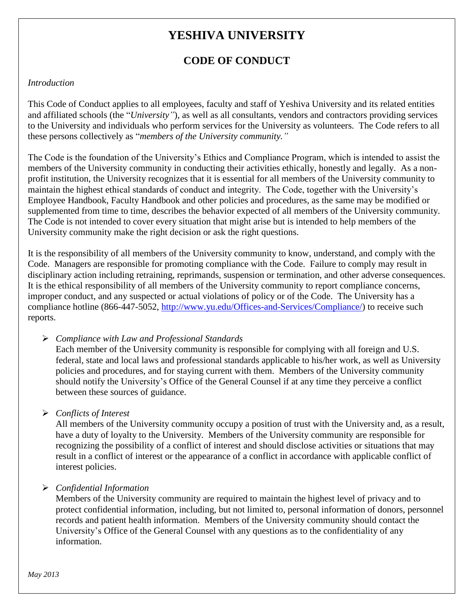# **YESHIVA UNIVERSITY**

# **CODE OF CONDUCT**

#### *Introduction*

This Code of Conduct applies to all employees, faculty and staff of Yeshiva University and its related entities and affiliated schools (the "*University"*), as well as all consultants, vendors and contractors providing services to the University and individuals who perform services for the University as volunteers. The Code refers to all these persons collectively as "*members of the University community."*

The Code is the foundation of the University's Ethics and Compliance Program, which is intended to assist the members of the University community in conducting their activities ethically, honestly and legally. As a nonprofit institution, the University recognizes that it is essential for all members of the University community to maintain the highest ethical standards of conduct and integrity. The Code, together with the University's Employee Handbook, Faculty Handbook and other policies and procedures, as the same may be modified or supplemented from time to time, describes the behavior expected of all members of the University community. The Code is not intended to cover every situation that might arise but is intended to help members of the University community make the right decision or ask the right questions.

It is the responsibility of all members of the University community to know, understand, and comply with the Code. Managers are responsible for promoting compliance with the Code. Failure to comply may result in disciplinary action including retraining, reprimands, suspension or termination, and other adverse consequences. It is the ethical responsibility of all members of the University community to report compliance concerns, improper conduct, and any suspected or actual violations of policy or of the Code. The University has a compliance hotline (866-447-5052, [http://www.yu.edu/Offices-and-Services/Compliance/\)](http://www.yu.edu/Offices-and-Services/Compliance/) to receive such reports.

*Compliance with Law and Professional Standards*

Each member of the University community is responsible for complying with all foreign and U.S. federal, state and local laws and professional standards applicable to his/her work, as well as University policies and procedures, and for staying current with them. Members of the University community should notify the University's Office of the General Counsel if at any time they perceive a conflict between these sources of guidance.

*Conflicts of Interest*

All members of the University community occupy a position of trust with the University and, as a result, have a duty of loyalty to the University. Members of the University community are responsible for recognizing the possibility of a conflict of interest and should disclose activities or situations that may result in a conflict of interest or the appearance of a conflict in accordance with applicable conflict of interest policies.

*Confidential Information*

Members of the University community are required to maintain the highest level of privacy and to protect confidential information, including, but not limited to, personal information of donors, personnel records and patient health information. Members of the University community should contact the University's Office of the General Counsel with any questions as to the confidentiality of any information.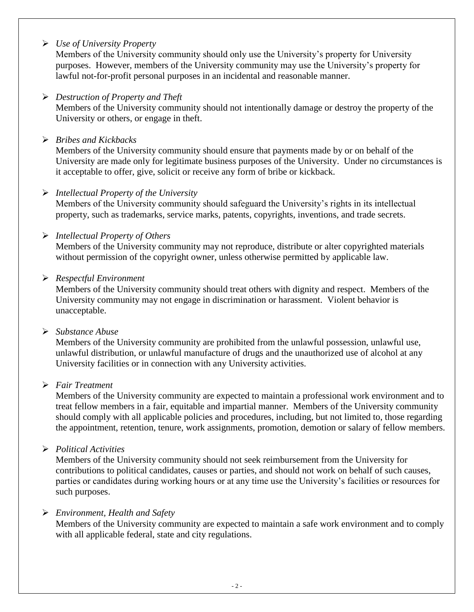#### *Use of University Property*

Members of the University community should only use the University's property for University purposes. However, members of the University community may use the University's property for lawful not-for-profit personal purposes in an incidental and reasonable manner.

#### *Destruction of Property and Theft*

Members of the University community should not intentionally damage or destroy the property of the University or others, or engage in theft.

#### *Bribes and Kickbacks*

Members of the University community should ensure that payments made by or on behalf of the University are made only for legitimate business purposes of the University. Under no circumstances is it acceptable to offer, give, solicit or receive any form of bribe or kickback.

#### *Intellectual Property of the University*

Members of the University community should safeguard the University's rights in its intellectual property, such as trademarks, service marks, patents, copyrights, inventions, and trade secrets.

#### *Intellectual Property of Others*

Members of the University community may not reproduce, distribute or alter copyrighted materials without permission of the copyright owner, unless otherwise permitted by applicable law.

#### *Respectful Environment*

Members of the University community should treat others with dignity and respect. Members of the University community may not engage in discrimination or harassment. Violent behavior is unacceptable.

#### *Substance Abuse*

Members of the University community are prohibited from the unlawful possession, unlawful use, unlawful distribution, or unlawful manufacture of drugs and the unauthorized use of alcohol at any University facilities or in connection with any University activities.

#### *Fair Treatment*

Members of the University community are expected to maintain a professional work environment and to treat fellow members in a fair, equitable and impartial manner. Members of the University community should comply with all applicable policies and procedures, including, but not limited to, those regarding the appointment, retention, tenure, work assignments, promotion, demotion or salary of fellow members.

#### *Political Activities*

Members of the University community should not seek reimbursement from the University for contributions to political candidates, causes or parties, and should not work on behalf of such causes, parties or candidates during working hours or at any time use the University's facilities or resources for such purposes.

#### *Environment, Health and Safety*

Members of the University community are expected to maintain a safe work environment and to comply with all applicable federal, state and city regulations.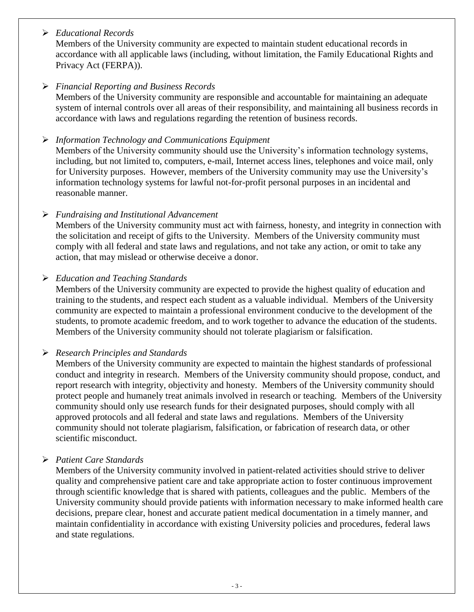#### *Educational Records*

Members of the University community are expected to maintain student educational records in accordance with all applicable laws (including, without limitation, the Family Educational Rights and Privacy Act (FERPA)).

### *Financial Reporting and Business Records*

Members of the University community are responsible and accountable for maintaining an adequate system of internal controls over all areas of their responsibility, and maintaining all business records in accordance with laws and regulations regarding the retention of business records.

#### *Information Technology and Communications Equipment*

Members of the University community should use the University's information technology systems, including, but not limited to, computers, e-mail, Internet access lines, telephones and voice mail, only for University purposes. However, members of the University community may use the University's information technology systems for lawful not-for-profit personal purposes in an incidental and reasonable manner.

#### *Fundraising and Institutional Advancement*

Members of the University community must act with fairness, honesty, and integrity in connection with the solicitation and receipt of gifts to the University. Members of the University community must comply with all federal and state laws and regulations, and not take any action, or omit to take any action, that may mislead or otherwise deceive a donor.

#### *Education and Teaching Standards*

Members of the University community are expected to provide the highest quality of education and training to the students, and respect each student as a valuable individual. Members of the University community are expected to maintain a professional environment conducive to the development of the students, to promote academic freedom, and to work together to advance the education of the students. Members of the University community should not tolerate plagiarism or falsification.

# *Research Principles and Standards*

Members of the University community are expected to maintain the highest standards of professional conduct and integrity in research. Members of the University community should propose, conduct, and report research with integrity, objectivity and honesty. Members of the University community should protect people and humanely treat animals involved in research or teaching. Members of the University community should only use research funds for their designated purposes, should comply with all approved protocols and all federal and state laws and regulations. Members of the University community should not tolerate plagiarism, falsification, or fabrication of research data, or other scientific misconduct.

# *Patient Care Standards*

Members of the University community involved in patient-related activities should strive to deliver quality and comprehensive patient care and take appropriate action to foster continuous improvement through scientific knowledge that is shared with patients, colleagues and the public. Members of the University community should provide patients with information necessary to make informed health care decisions, prepare clear, honest and accurate patient medical documentation in a timely manner, and maintain confidentiality in accordance with existing University policies and procedures, federal laws and state regulations.